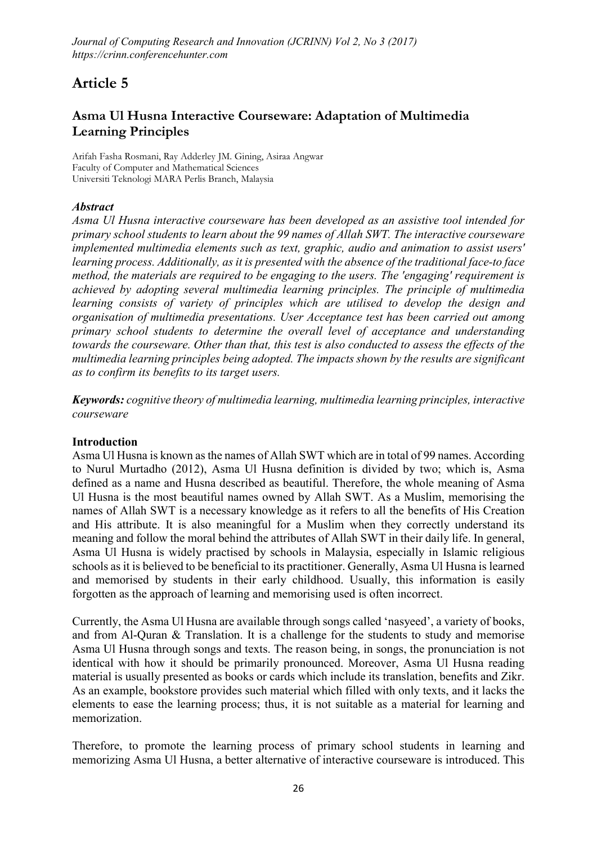# Article 5

## Asma Ul Husna Interactive Courseware: Adaptation of Multimedia Learning Principles

**Arifah Fasha Rosmani, Ray Adderley JM. Gining, Asiraa Angwar Faculty of Computer and Mathematical Sciences Universiti Teknologi MARA Perlis Branch, Malaysia**

## *Abstract*

*Asma Ul Husna interactive courseware has been developed as an assistive tool intended for primary school students to learn about the 99 names of Allah SWT. The interactive courseware implemented multimedia elements such as text, graphic, audio and animation to assist users' learning process. Additionally, as it is presented with the absence of the traditional face-to face method, the materials are required to be engaging to the users. The 'engaging' requirement is achieved by adopting several multimedia learning principles. The principle of multimedia learning consists of variety of principles which are utilised to develop the design and organisation of multimedia presentations. User Acceptance test has been carried out among primary school students to determine the overall level of acceptance and understanding towards the courseware. Other than that, this test is also conducted to assess the effects of the multimedia learning principles being adopted. The impacts shown by the results are significant as to confirm its benefits to its target users.*

*Keywords: cognitive theory of multimedia learning, multimedia learning principles, interactive courseware*

#### Introduction

Asma Ul Husna is known as the names of Allah SWT which are in total of 99 names. According to Nurul Murtadho (2012), Asma Ul Husna definition is divided by two; which is, Asma defined as a name and Husna described as beautiful. Therefore, the whole meaning of Asma Ul Husna is the most beautiful names owned by Allah SWT. As a Muslim, memorising the names of Allah SWT is a necessary knowledge as it refers to all the benefits of His Creation and His attribute. It is also meaningful for a Muslim when they correctly understand its meaning and follow the moral behind the attributes of Allah SWT in their daily life. In general, Asma Ul Husna is widely practised by schools in Malaysia, especially in Islamic religious schools as it is believed to be beneficial to its practitioner. Generally, Asma Ul Husna is learned and memorised by students in their early childhood. Usually, this information is easily forgotten as the approach of learning and memorising used is often incorrect.

Currently, the Asma Ul Husna are available through songs called 'nasyeed', a variety of books, and from Al-Quran & Translation. It is a challenge for the students to study and memorise Asma Ul Husna through songs and texts. The reason being, in songs, the pronunciation is not identical with how it should be primarily pronounced. Moreover, Asma Ul Husna reading material is usually presented as books or cards which include its translation, benefits and Zikr. As an example, bookstore provides such material which filled with only texts, and it lacks the elements to ease the learning process; thus, it is not suitable as a material for learning and memorization.

Therefore, to promote the learning process of primary school students in learning and memorizing Asma Ul Husna, a better alternative of interactive courseware is introduced. This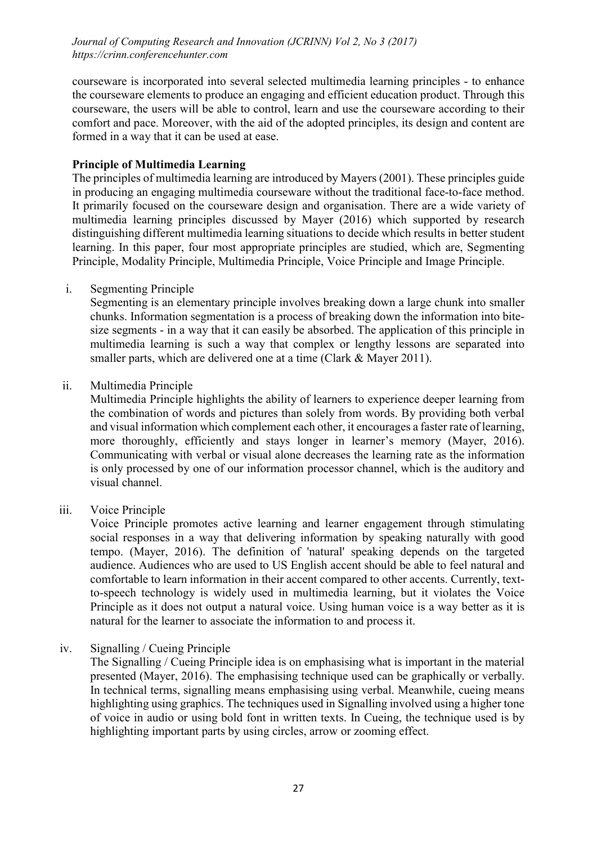courseware is incorporated into several selected multimedia learning principles - to enhance the courseware elements to produce an engaging and efficient education product. Through this courseware, the users will be able to control, learn and use the courseware according to their comfort and pace. Moreover, with the aid of the adopted principles, its design and content are formed in a way that it can be used at ease.

#### Principle of Multimedia Learning

The principles of multimedia learning are introduced by Mayers (2001). These principles guide in producing an engaging multimedia courseware without the traditional face-to-face method. It primarily focused on the courseware design and organisation. There are a wide variety of multimedia learning principles discussed by Mayer (2016) which supported by research distinguishing different multimedia learning situations to decide which results in better student learning. In this paper, four most appropriate principles are studied, which are, Segmenting Principle, Modality Principle, Multimedia Principle, Voice Principle and Image Principle.

i. Segmenting Principle

Segmenting is an elementary principle involves breaking down a large chunk into smaller chunks. Information segmentation is a process of breaking down the information into bitesize segments - in a way that it can easily be absorbed. The application of this principle in multimedia learning is such a way that complex or lengthy lessons are separated into smaller parts, which are delivered one at a time (Clark & Mayer 2011).

ii. Multimedia Principle

Multimedia Principle highlights the ability of learners to experience deeper learning from the combination of words and pictures than solely from words. By providing both verbal and visual information which complement each other, it encourages a faster rate of learning, more thoroughly, efficiently and stays longer in learner's memory (Mayer, 2016). Communicating with verbal or visual alone decreases the learning rate as the information is only processed by one of our information processor channel, which is the auditory and visual channel.

iii. Voice Principle

Voice Principle promotes active learning and learner engagement through stimulating social responses in a way that delivering information by speaking naturally with good tempo. (Mayer, 2016). The definition of 'natural' speaking depends on the targeted audience. Audiences who are used to US English accent should be able to feel natural and comfortable to learn information in their accent compared to other accents. Currently, textto-speech technology is widely used in multimedia learning, but it violates the Voice Principle as it does not output a natural voice. Using human voice is a way better as it is natural for the learner to associate the information to and process it.

iv. Signalling / Cueing Principle

The Signalling / Cueing Principle idea is on emphasising what is important in the material presented (Mayer, 2016). The emphasising technique used can be graphically or verbally. In technical terms, signalling means emphasising using verbal. Meanwhile, cueing means highlighting using graphics. The techniques used in Signalling involved using a higher tone of voice in audio or using bold font in written texts. In Cueing, the technique used is by highlighting important parts by using circles, arrow or zooming effect.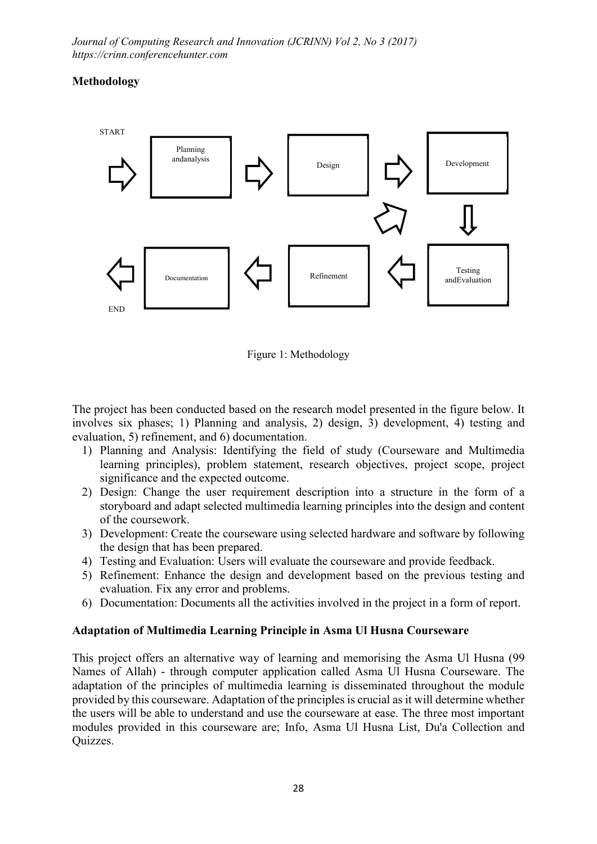## Methodology



Figure 1: Methodology

The project has been conducted based on the research model presented in the figure below. It involves six phases; 1) Planning and analysis, 2) design, 3) development, 4) testing and evaluation, 5) refinement, and 6) documentation.

- 1) Planning and Analysis: Identifying the field of study (Courseware and Multimedia learning principles), problem statement, research objectives, project scope, project significance and the expected outcome.
- 2) Design: Change the user requirement description into a structure in the form of a storyboard and adapt selected multimedia learning principles into the design and content of the coursework.
- 3) Development: Create the courseware using selected hardware and software by following the design that has been prepared.
- 4) Testing and Evaluation: Users will evaluate the courseware and provide feedback.
- 5) Refinement: Enhance the design and development based on the previous testing and evaluation. Fix any error and problems.
- 6) Documentation: Documents all the activities involved in the project in a form of report.

#### Adaptation of Multimedia Learning Principle in Asma Ul Husna Courseware

This project offers an alternative way of learning and memorising the Asma Ul Husna (99 Names of Allah) - through computer application called Asma Ul Husna Courseware. The adaptation of the principles of multimedia learning is disseminated throughout the module provided by this courseware. Adaptation of the principles is crucial as it will determine whether the users will be able to understand and use the courseware at ease. The three most important modules provided in this courseware are; Info, Asma Ul Husna List, Du'a Collection and Quizzes.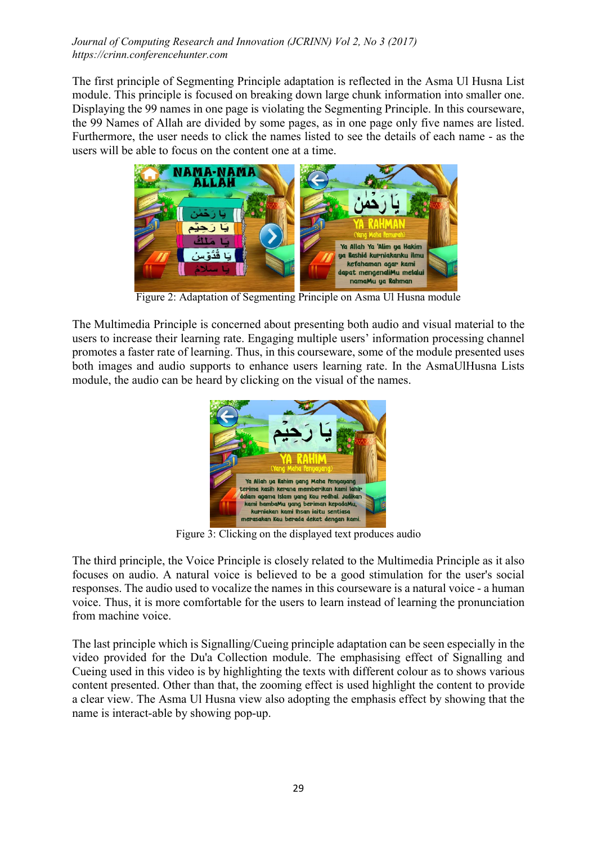The first principle of Segmenting Principle adaptation is reflected in the Asma Ul Husna List module. This principle is focused on breaking down large chunk information into smaller one. Displaying the 99 names in one page is violating the Segmenting Principle. In this courseware, the 99 Names of Allah are divided by some pages, as in one page only five names are listed. Furthermore, the user needs to click the names listed to see the details of each name - as the users will be able to focus on the content one at a time.



Figure 2: Adaptation of Segmenting Principle on Asma Ul Husna module

The Multimedia Principle is concerned about presenting both audio and visual material to the users to increase their learning rate. Engaging multiple users' information processing channel promotes a faster rate of learning. Thus, in this courseware, some of the module presented uses both images and audio supports to enhance users learning rate. In the AsmaUlHusna Lists module, the audio can be heard by clicking on the visual of the names.



Figure 3: Clicking on the displayed text produces audio

The third principle, the Voice Principle is closely related to the Multimedia Principle as it also focuses on audio. A natural voice is believed to be a good stimulation for the user's social responses. The audio used to vocalize the names in this courseware is a natural voice - a human voice. Thus, it is more comfortable for the users to learn instead of learning the pronunciation from machine voice.

The last principle which is Signalling/Cueing principle adaptation can be seen especially in the video provided for the Du'a Collection module. The emphasising effect of Signalling and Cueing used in this video is by highlighting the texts with different colour as to shows various content presented. Other than that, the zooming effect is used highlight the content to provide a clear view. The Asma Ul Husna view also adopting the emphasis effect by showing that the name is interact-able by showing pop-up.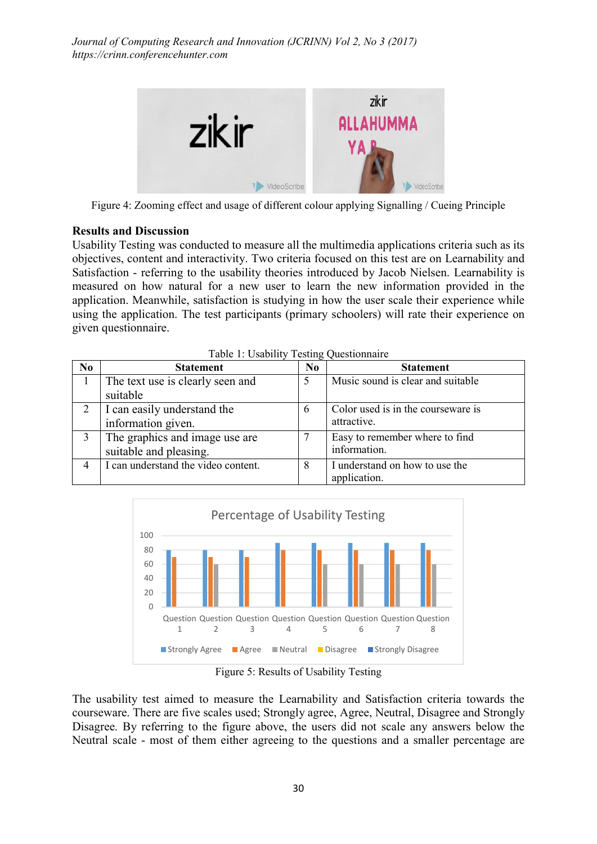

Figure 4: Zooming effect and usage of different colour applying Signalling / Cueing Principle

### Results and Discussion

Usability Testing was conducted to measure all the multimedia applications criteria such as its objectives, content and interactivity. Two criteria focused on this test are on Learnability and Satisfaction - referring to the usability theories introduced by Jacob Nielsen. Learnability is measured on how natural for a new user to learn the new information provided in the application. Meanwhile, satisfaction is studying in how the user scale their experience while using the application. The test participants (primary schoolers) will rate their experience on given questionnaire.

| N <sub>0</sub> | <b>Statement</b>                                         | No. | <b>Statement</b>                                  |  |  |
|----------------|----------------------------------------------------------|-----|---------------------------------------------------|--|--|
|                | The text use is clearly seen and<br>suitable             | 5   | Music sound is clear and suitable                 |  |  |
|                | I can easily understand the<br>information given.        | 6   | Color used is in the courseware is<br>attractive. |  |  |
|                | The graphics and image use are<br>suitable and pleasing. |     | Easy to remember where to find<br>information.    |  |  |
|                | I can understand the video content.                      | 8   | I understand on how to use the<br>application.    |  |  |

Table 1: Usability Testing Questionnaire



Figure 5: Results of Usability Testing

The usability test aimed to measure the Learnability and Satisfaction criteria towards the courseware. There are five scales used; Strongly agree, Agree, Neutral, Disagree and Strongly Disagree. By referring to the figure above, the users did not scale any answers below the Neutral scale - most of them either agreeing to the questions and a smaller percentage are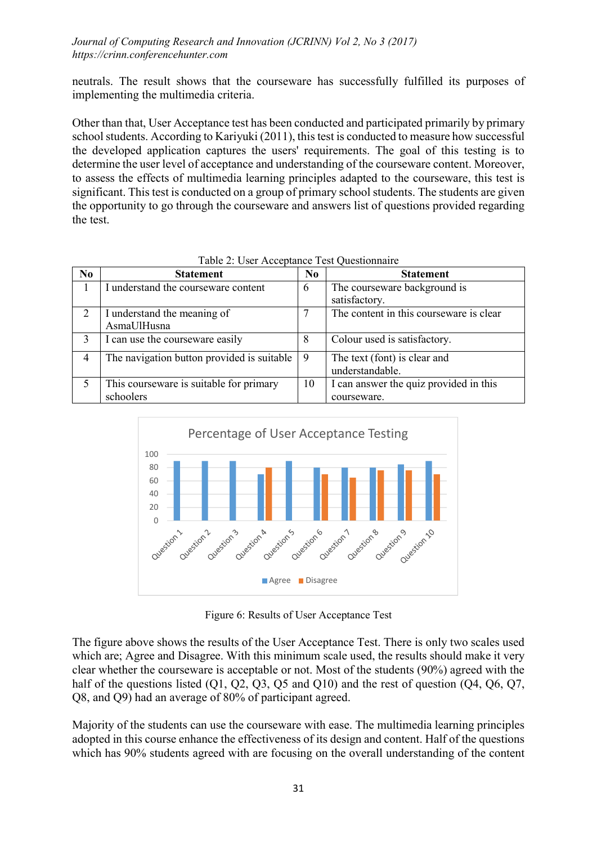neutrals. The result shows that the courseware has successfully fulfilled its purposes of implementing the multimedia criteria.

Other than that, User Acceptance test has been conducted and participated primarily by primary school students. According to Kariyuki (2011), this test is conducted to measure how successful the developed application captures the users' requirements. The goal of this testing is to determine the user level of acceptance and understanding of the courseware content. Moreover, to assess the effects of multimedia learning principles adapted to the courseware, this test is significant. This test is conducted on a group of primary school students. The students are given the opportunity to go through the courseware and answers list of questions provided regarding the test.

| N <sub>0</sub> | <b>Statement</b>                                     | N <sub>0</sub> | <b>Statement</b>                                      |  |  |
|----------------|------------------------------------------------------|----------------|-------------------------------------------------------|--|--|
|                | I understand the courseware content                  | 6              | The courseware background is<br>satisfactory.         |  |  |
|                | I understand the meaning of<br>AsmaUlHusna           |                | The content in this courseware is clear               |  |  |
|                | I can use the courseware easily                      | 8              | Colour used is satisfactory.                          |  |  |
| $\overline{4}$ | The navigation button provided is suitable           | -9             | The text (font) is clear and<br>understandable.       |  |  |
|                | This courseware is suitable for primary<br>schoolers | 10             | I can answer the quiz provided in this<br>courseware. |  |  |

Table 2: User Acceptance Test Questionnaire



Figure 6: Results of User Acceptance Test

The figure above shows the results of the User Acceptance Test. There is only two scales used which are; Agree and Disagree. With this minimum scale used, the results should make it very clear whether the courseware is acceptable or not. Most of the students (90%) agreed with the half of the questions listed (Q1, Q2, Q3, Q5 and Q10) and the rest of question (Q4, Q6, Q7, Q8, and Q9) had an average of 80% of participant agreed.

Majority of the students can use the courseware with ease. The multimedia learning principles adopted in this course enhance the effectiveness of its design and content. Half of the questions which has 90% students agreed with are focusing on the overall understanding of the content